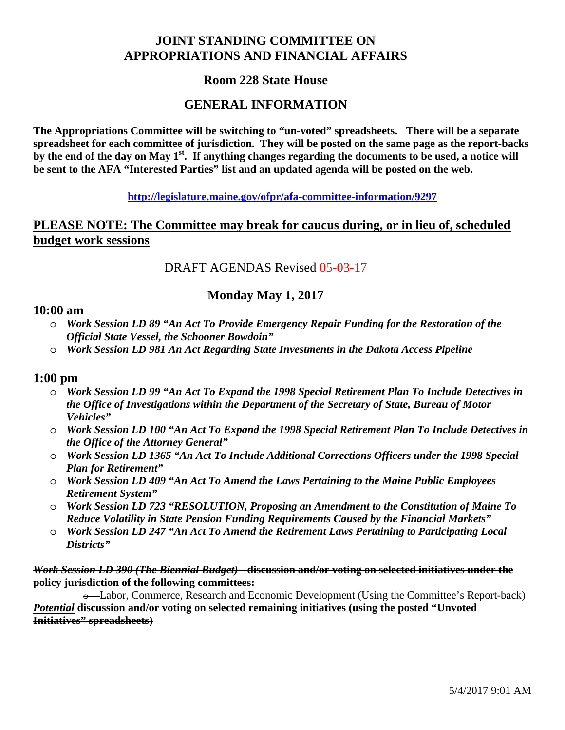# **JOINT STANDING COMMITTEE ON APPROPRIATIONS AND FINANCIAL AFFAIRS**

# **Room 228 State House**

# **GENERAL INFORMATION**

**The Appropriations Committee will be switching to "un-voted" spreadsheets. There will be a separate spreadsheet for each committee of jurisdiction. They will be posted on the same page as the report-backs**  by the end of the day on May 1<sup>st</sup>. If anything changes regarding the documents to be used, a notice will **be sent to the AFA "Interested Parties" list and an updated agenda will be posted on the web.** 

**http://legislature.maine.gov/ofpr/afa-committee-information/9297**

# **PLEASE NOTE: The Committee may break for caucus during, or in lieu of, scheduled budget work sessions**

DRAFT AGENDAS Revised 05-03-17

# **Monday May 1, 2017**

### **10:00 am**

- o *Work Session LD 89 "An Act To Provide Emergency Repair Funding for the Restoration of the Official State Vessel, the Schooner Bowdoin"*
- o *Work Session LD 981 An Act Regarding State Investments in the Dakota Access Pipeline*

### **1:00 pm**

- o *Work Session LD 99 "An Act To Expand the 1998 Special Retirement Plan To Include Detectives in the Office of Investigations within the Department of the Secretary of State, Bureau of Motor Vehicles"*
- o *Work Session LD 100 "An Act To Expand the 1998 Special Retirement Plan To Include Detectives in the Office of the Attorney General"*
- o *Work Session LD 1365 "An Act To Include Additional Corrections Officers under the 1998 Special Plan for Retirement"*
- o *Work Session LD 409 "An Act To Amend the Laws Pertaining to the Maine Public Employees Retirement System"*
- o *Work Session LD 723 "RESOLUTION, Proposing an Amendment to the Constitution of Maine To Reduce Volatility in State Pension Funding Requirements Caused by the Financial Markets"*
- o *Work Session LD 247 "An Act To Amend the Retirement Laws Pertaining to Participating Local Districts"*

#### *Work Session LD 390 (The Biennial Budget) -* **discussion and/or voting on selected initiatives under the policy jurisdiction of the following committees:**

o Labor, Commerce, Research and Economic Development (Using the Committee's Report-back) *Potential* **discussion and/or voting on selected remaining initiatives (using the posted "Unvoted Initiatives" spreadsheets)**